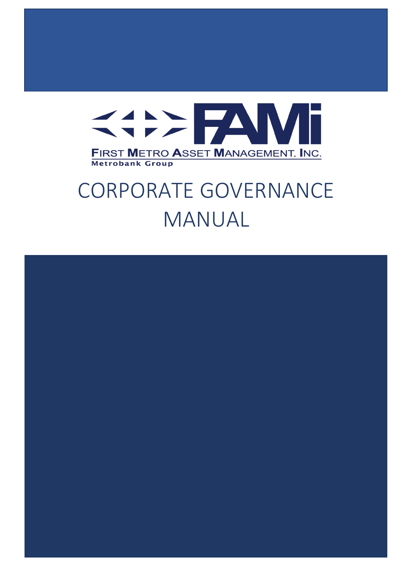

# CORPORATE GOVERNANCE MANUAL

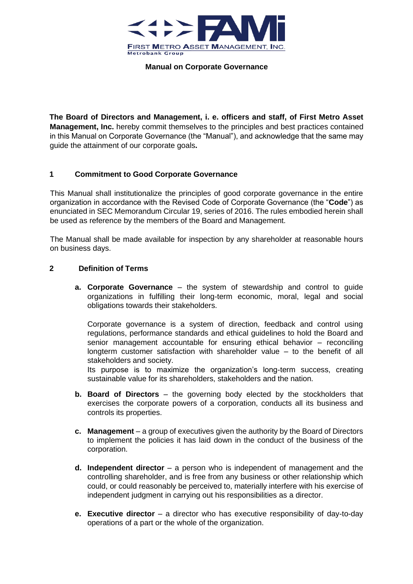

**The Board of Directors and Management, i. e. officers and staff, of First Metro Asset Management, Inc.** hereby commit themselves to the principles and best practices contained in this Manual on Corporate Governance (the "Manual"), and acknowledge that the same may guide the attainment of our corporate goals**.** 

## **1 Commitment to Good Corporate Governance**

This Manual shall institutionalize the principles of good corporate governance in the entire organization in accordance with the Revised Code of Corporate Governance (the "**Code**") as enunciated in SEC Memorandum Circular 19, series of 2016. The rules embodied herein shall be used as reference by the members of the Board and Management.

The Manual shall be made available for inspection by any shareholder at reasonable hours on business days.

## **2 Definition of Terms**

**a. Corporate Governance** – the system of stewardship and control to guide organizations in fulfilling their long-term economic, moral, legal and social obligations towards their stakeholders.

Corporate governance is a system of direction, feedback and control using regulations, performance standards and ethical guidelines to hold the Board and senior management accountable for ensuring ethical behavior – reconciling longterm customer satisfaction with shareholder value – to the benefit of all stakeholders and society.

Its purpose is to maximize the organization's long-term success, creating sustainable value for its shareholders, stakeholders and the nation.

- **b. Board of Directors**  the governing body elected by the stockholders that exercises the corporate powers of a corporation, conducts all its business and controls its properties.
- **c. Management**  a group of executives given the authority by the Board of Directors to implement the policies it has laid down in the conduct of the business of the corporation.
- **d. Independent director**  a person who is independent of management and the controlling shareholder, and is free from any business or other relationship which could, or could reasonably be perceived to, materially interfere with his exercise of independent judgment in carrying out his responsibilities as a director.
- **e. Executive director**  a director who has executive responsibility of day-to-day operations of a part or the whole of the organization.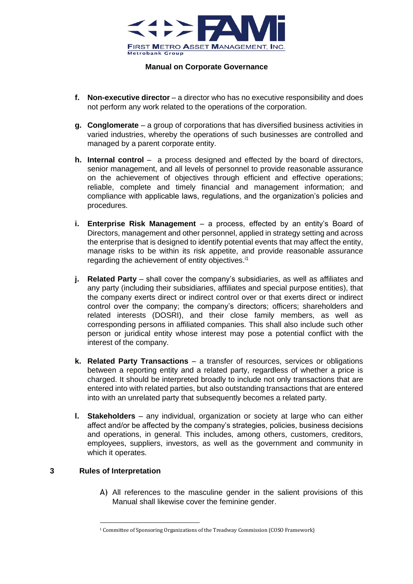

- **f. Non-executive director**  a director who has no executive responsibility and does not perform any work related to the operations of the corporation.
- **g. Conglomerate**  a group of corporations that has diversified business activities in varied industries, whereby the operations of such businesses are controlled and managed by a parent corporate entity.
- **h. Internal control** a process designed and effected by the board of directors, senior management, and all levels of personnel to provide reasonable assurance on the achievement of objectives through efficient and effective operations; reliable, complete and timely financial and management information; and compliance with applicable laws, regulations, and the organization's policies and procedures.
- **i. Enterprise Risk Management** a process, effected by an entity's Board of Directors, management and other personnel, applied in strategy setting and across the enterprise that is designed to identify potential events that may affect the entity, manage risks to be within its risk appetite, and provide reasonable assurance regarding the achievement of entity objectives.<sup>11</sup>
- **j.** Related Party shall cover the company's subsidiaries, as well as affiliates and any party (including their subsidiaries, affiliates and special purpose entities), that the company exerts direct or indirect control over or that exerts direct or indirect control over the company; the company's directors; officers; shareholders and related interests (DOSRI), and their close family members, as well as corresponding persons in affiliated companies. This shall also include such other person or juridical entity whose interest may pose a potential conflict with the interest of the company.
- **k.** Related Party Transactions a transfer of resources, services or obligations between a reporting entity and a related party, regardless of whether a price is charged. It should be interpreted broadly to include not only transactions that are entered into with related parties, but also outstanding transactions that are entered into with an unrelated party that subsequently becomes a related party.
- **l. Stakeholders** any individual, organization or society at large who can either affect and/or be affected by the company's strategies, policies, business decisions and operations, in general. This includes, among others, customers, creditors, employees, suppliers, investors, as well as the government and community in which it operates.

## **3 Rules of Interpretation**

A) All references to the masculine gender in the salient provisions of this Manual shall likewise cover the feminine gender.

<sup>1</sup> Committee of Sponsoring Organizations of the Treadway Commission (COSO Framework)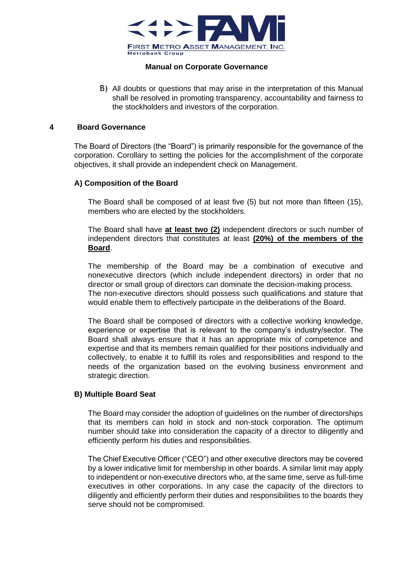

B) All doubts or questions that may arise in the interpretation of this Manual shall be resolved in promoting transparency, accountability and fairness to the stockholders and investors of the corporation.

#### **4 Board Governance**

The Board of Directors (the "Board") is primarily responsible for the governance of the corporation. Corollary to setting the policies for the accomplishment of the corporate objectives, it shall provide an independent check on Management.

## **A) Composition of the Board**

The Board shall be composed of at least five (5) but not more than fifteen (15), members who are elected by the stockholders.

The Board shall have **at least two (2)** independent directors or such number of independent directors that constitutes at least **(20%) of the members of the Board**.

The membership of the Board may be a combination of executive and nonexecutive directors (which include independent directors) in order that no director or small group of directors can dominate the decision-making process. The non-executive directors should possess such qualifications and stature that would enable them to effectively participate in the deliberations of the Board.

The Board shall be composed of directors with a collective working knowledge, experience or expertise that is relevant to the company's industry/sector. The Board shall always ensure that it has an appropriate mix of competence and expertise and that its members remain qualified for their positions individually and collectively, to enable it to fulfill its roles and responsibilities and respond to the needs of the organization based on the evolving business environment and strategic direction.

## **B) Multiple Board Seat**

The Board may consider the adoption of guidelines on the number of directorships that its members can hold in stock and non-stock corporation. The optimum number should take into consideration the capacity of a director to diligently and efficiently perform his duties and responsibilities.

The Chief Executive Officer ("CEO") and other executive directors may be covered by a lower indicative limit for membership in other boards. A similar limit may apply to independent or non-executive directors who, at the same time, serve as full-time executives in other corporations. In any case the capacity of the directors to diligently and efficiently perform their duties and responsibilities to the boards they serve should not be compromised.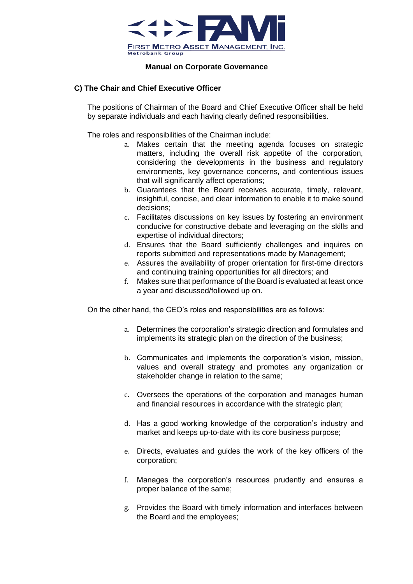

## **C) The Chair and Chief Executive Officer**

The positions of Chairman of the Board and Chief Executive Officer shall be held by separate individuals and each having clearly defined responsibilities.

The roles and responsibilities of the Chairman include:

- a. Makes certain that the meeting agenda focuses on strategic matters, including the overall risk appetite of the corporation, considering the developments in the business and regulatory environments, key governance concerns, and contentious issues that will significantly affect operations:
- b. Guarantees that the Board receives accurate, timely, relevant, insightful, concise, and clear information to enable it to make sound decisions;
- c. Facilitates discussions on key issues by fostering an environment conducive for constructive debate and leveraging on the skills and expertise of individual directors;
- d. Ensures that the Board sufficiently challenges and inquires on reports submitted and representations made by Management;
- e. Assures the availability of proper orientation for first-time directors and continuing training opportunities for all directors; and
- f. Makes sure that performance of the Board is evaluated at least once a year and discussed/followed up on.

On the other hand, the CEO's roles and responsibilities are as follows:

- a. Determines the corporation's strategic direction and formulates and implements its strategic plan on the direction of the business;
- b. Communicates and implements the corporation's vision, mission, values and overall strategy and promotes any organization or stakeholder change in relation to the same;
- c. Oversees the operations of the corporation and manages human and financial resources in accordance with the strategic plan;
- d. Has a good working knowledge of the corporation's industry and market and keeps up-to-date with its core business purpose;
- e. Directs, evaluates and guides the work of the key officers of the corporation;
- f. Manages the corporation's resources prudently and ensures a proper balance of the same;
- g. Provides the Board with timely information and interfaces between the Board and the employees;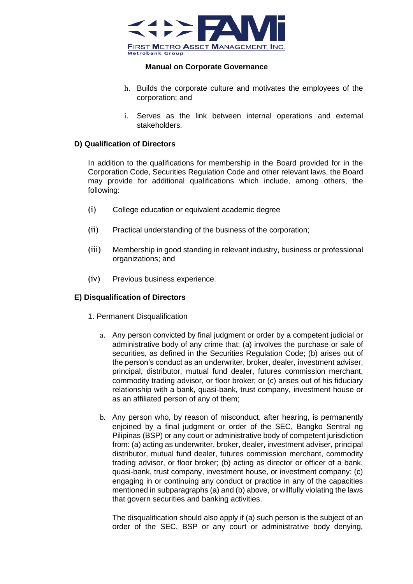

- h. Builds the corporate culture and motivates the employees of the corporation; and
- i. Serves as the link between internal operations and external stakeholders.

## **D) Qualification of Directors**

In addition to the qualifications for membership in the Board provided for in the Corporation Code, Securities Regulation Code and other relevant laws, the Board may provide for additional qualifications which include, among others, the following:

- (i) College education or equivalent academic degree
- (ii) Practical understanding of the business of the corporation;
- (iii) Membership in good standing in relevant industry, business or professional organizations; and
- (iv) Previous business experience.

## **E) Disqualification of Directors**

- 1. Permanent Disqualification
	- a. Any person convicted by final judgment or order by a competent judicial or administrative body of any crime that: (a) involves the purchase or sale of securities, as defined in the Securities Regulation Code; (b) arises out of the person's conduct as an underwriter, broker, dealer, investment adviser, principal, distributor, mutual fund dealer, futures commission merchant, commodity trading advisor, or floor broker; or (c) arises out of his fiduciary relationship with a bank, quasi-bank, trust company, investment house or as an affiliated person of any of them;
	- b. Any person who, by reason of misconduct, after hearing, is permanently enjoined by a final judgment or order of the SEC, Bangko Sentral ng Pilipinas (BSP) or any court or administrative body of competent jurisdiction from: (a) acting as underwriter, broker, dealer, investment adviser, principal distributor, mutual fund dealer, futures commission merchant, commodity trading advisor, or floor broker; (b) acting as director or officer of a bank, quasi-bank, trust company, investment house, or investment company; (c) engaging in or continuing any conduct or practice in any of the capacities mentioned in subparagraphs (a) and (b) above, or willfully violating the laws that govern securities and banking activities.

The disqualification should also apply if (a) such person is the subject of an order of the SEC, BSP or any court or administrative body denying,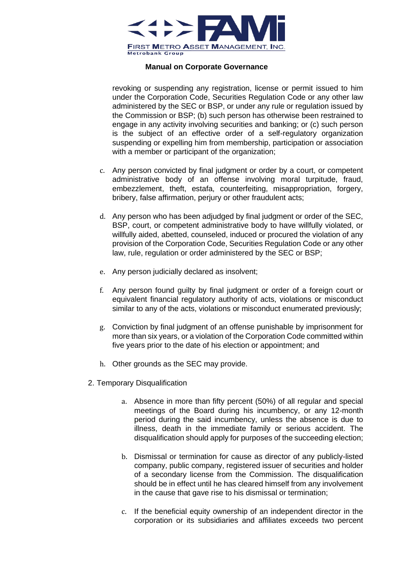

revoking or suspending any registration, license or permit issued to him under the Corporation Code, Securities Regulation Code or any other law administered by the SEC or BSP, or under any rule or regulation issued by the Commission or BSP; (b) such person has otherwise been restrained to engage in any activity involving securities and banking; or (c) such person is the subject of an effective order of a self-regulatory organization suspending or expelling him from membership, participation or association with a member or participant of the organization;

- c. Any person convicted by final judgment or order by a court, or competent administrative body of an offense involving moral turpitude, fraud, embezzlement, theft, estafa, counterfeiting, misappropriation, forgery, bribery, false affirmation, perjury or other fraudulent acts;
- d. Any person who has been adjudged by final judgment or order of the SEC, BSP, court, or competent administrative body to have willfully violated, or willfully aided, abetted, counseled, induced or procured the violation of any provision of the Corporation Code, Securities Regulation Code or any other law, rule, regulation or order administered by the SEC or BSP;
- e. Any person judicially declared as insolvent;
- f. Any person found guilty by final judgment or order of a foreign court or equivalent financial regulatory authority of acts, violations or misconduct similar to any of the acts, violations or misconduct enumerated previously;
- g. Conviction by final judgment of an offense punishable by imprisonment for more than six years, or a violation of the Corporation Code committed within five years prior to the date of his election or appointment; and
- h. Other grounds as the SEC may provide.
- 2. Temporary Disqualification
	- a. Absence in more than fifty percent (50%) of all regular and special meetings of the Board during his incumbency, or any 12-month period during the said incumbency, unless the absence is due to illness, death in the immediate family or serious accident. The disqualification should apply for purposes of the succeeding election;
	- b. Dismissal or termination for cause as director of any publicly-listed company, public company, registered issuer of securities and holder of a secondary license from the Commission. The disqualification should be in effect until he has cleared himself from any involvement in the cause that gave rise to his dismissal or termination;
	- c. If the beneficial equity ownership of an independent director in the corporation or its subsidiaries and affiliates exceeds two percent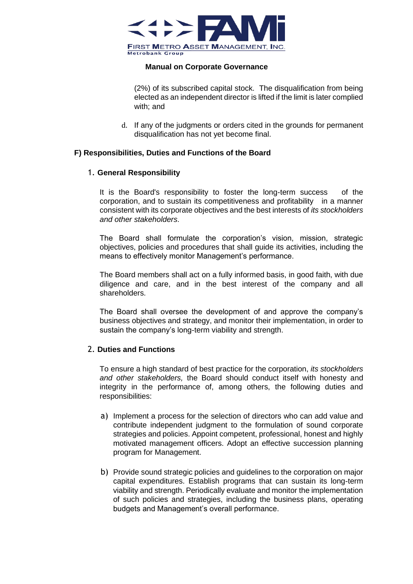

(2%) of its subscribed capital stock. The disqualification from being elected as an independent director is lifted if the limit is later complied with; and

d. If any of the judgments or orders cited in the grounds for permanent disqualification has not yet become final.

## **F) Responsibilities, Duties and Functions of the Board**

#### 1. **General Responsibility**

It is the Board's responsibility to foster the long-term success of the corporation, and to sustain its competitiveness and profitability in a manner consistent with its corporate objectives and the best interests of *its stockholders and other stakeholders*.

The Board shall formulate the corporation's vision, mission, strategic objectives, policies and procedures that shall guide its activities, including the means to effectively monitor Management's performance.

The Board members shall act on a fully informed basis, in good faith, with due diligence and care, and in the best interest of the company and all shareholders.

The Board shall oversee the development of and approve the company's business objectives and strategy, and monitor their implementation, in order to sustain the company's long-term viability and strength.

## 2. **Duties and Functions**

To ensure a high standard of best practice for the corporation, *its stockholders and other stakeholders,* the Board should conduct itself with honesty and integrity in the performance of, among others, the following duties and responsibilities:

- a) Implement a process for the selection of directors who can add value and contribute independent judgment to the formulation of sound corporate strategies and policies. Appoint competent, professional, honest and highly motivated management officers. Adopt an effective succession planning program for Management.
- b) Provide sound strategic policies and guidelines to the corporation on major capital expenditures. Establish programs that can sustain its long-term viability and strength. Periodically evaluate and monitor the implementation of such policies and strategies, including the business plans, operating budgets and Management's overall performance.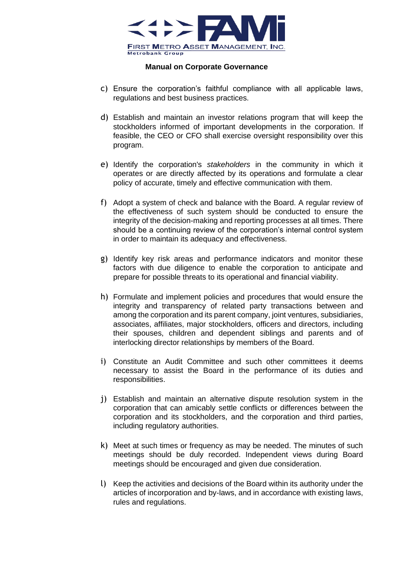

- c) Ensure the corporation's faithful compliance with all applicable laws, regulations and best business practices.
- d) Establish and maintain an investor relations program that will keep the stockholders informed of important developments in the corporation. If feasible, the CEO or CFO shall exercise oversight responsibility over this program.
- e) Identify the corporation's *stakeholders* in the community in which it operates or are directly affected by its operations and formulate a clear policy of accurate, timely and effective communication with them.
- f) Adopt a system of check and balance with the Board. A regular review of the effectiveness of such system should be conducted to ensure the integrity of the decision-making and reporting processes at all times. There should be a continuing review of the corporation's internal control system in order to maintain its adequacy and effectiveness.
- g) Identify key risk areas and performance indicators and monitor these factors with due diligence to enable the corporation to anticipate and prepare for possible threats to its operational and financial viability.
- h) Formulate and implement policies and procedures that would ensure the integrity and transparency of related party transactions between and among the corporation and its parent company, joint ventures, subsidiaries, associates, affiliates, major stockholders, officers and directors, including their spouses, children and dependent siblings and parents and of interlocking director relationships by members of the Board.
- i) Constitute an Audit Committee and such other committees it deems necessary to assist the Board in the performance of its duties and responsibilities.
- j) Establish and maintain an alternative dispute resolution system in the corporation that can amicably settle conflicts or differences between the corporation and its stockholders, and the corporation and third parties, including regulatory authorities.
- k) Meet at such times or frequency as may be needed. The minutes of such meetings should be duly recorded. Independent views during Board meetings should be encouraged and given due consideration.
- l) Keep the activities and decisions of the Board within its authority under the articles of incorporation and by-laws, and in accordance with existing laws, rules and regulations.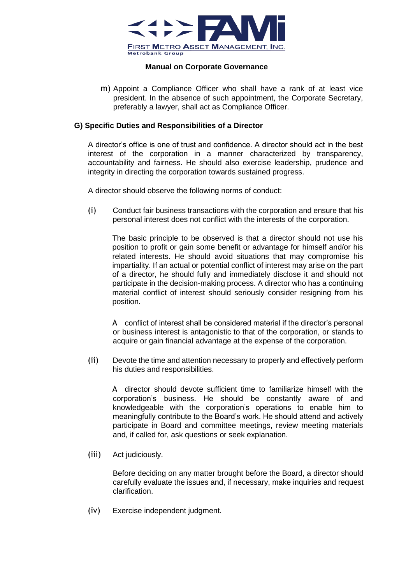

m) Appoint a Compliance Officer who shall have a rank of at least vice president. In the absence of such appointment, the Corporate Secretary, preferably a lawyer, shall act as Compliance Officer.

## **G) Specific Duties and Responsibilities of a Director**

A director's office is one of trust and confidence. A director should act in the best interest of the corporation in a manner characterized by transparency, accountability and fairness. He should also exercise leadership, prudence and integrity in directing the corporation towards sustained progress.

A director should observe the following norms of conduct:

(i) Conduct fair business transactions with the corporation and ensure that his personal interest does not conflict with the interests of the corporation.

The basic principle to be observed is that a director should not use his position to profit or gain some benefit or advantage for himself and/or his related interests. He should avoid situations that may compromise his impartiality. If an actual or potential conflict of interest may arise on the part of a director, he should fully and immediately disclose it and should not participate in the decision-making process. A director who has a continuing material conflict of interest should seriously consider resigning from his position.

A conflict of interest shall be considered material if the director's personal or business interest is antagonistic to that of the corporation, or stands to acquire or gain financial advantage at the expense of the corporation.

(ii) Devote the time and attention necessary to properly and effectively perform his duties and responsibilities.

A director should devote sufficient time to familiarize himself with the corporation's business. He should be constantly aware of and knowledgeable with the corporation's operations to enable him to meaningfully contribute to the Board's work. He should attend and actively participate in Board and committee meetings, review meeting materials and, if called for, ask questions or seek explanation.

(iii) Act judiciously.

Before deciding on any matter brought before the Board, a director should carefully evaluate the issues and, if necessary, make inquiries and request clarification.

(iv) Exercise independent judgment.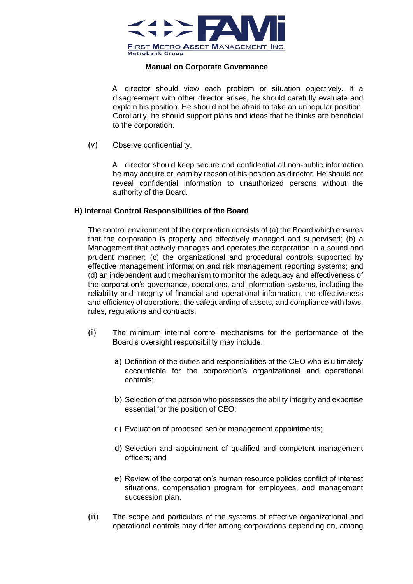

A director should view each problem or situation objectively. If a disagreement with other director arises, he should carefully evaluate and explain his position. He should not be afraid to take an unpopular position. Corollarily, he should support plans and ideas that he thinks are beneficial to the corporation.

(v) Observe confidentiality.

A director should keep secure and confidential all non-public information he may acquire or learn by reason of his position as director. He should not reveal confidential information to unauthorized persons without the authority of the Board.

#### **H) Internal Control Responsibilities of the Board**

The control environment of the corporation consists of (a) the Board which ensures that the corporation is properly and effectively managed and supervised; (b) a Management that actively manages and operates the corporation in a sound and prudent manner; (c) the organizational and procedural controls supported by effective management information and risk management reporting systems; and (d) an independent audit mechanism to monitor the adequacy and effectiveness of the corporation's governance, operations, and information systems, including the reliability and integrity of financial and operational information, the effectiveness and efficiency of operations, the safeguarding of assets, and compliance with laws, rules, regulations and contracts.

- (i) The minimum internal control mechanisms for the performance of the Board's oversight responsibility may include:
	- a) Definition of the duties and responsibilities of the CEO who is ultimately accountable for the corporation's organizational and operational controls;
	- b) Selection of the person who possesses the ability integrity and expertise essential for the position of CEO;
	- c) Evaluation of proposed senior management appointments;
	- d) Selection and appointment of qualified and competent management officers; and
	- e) Review of the corporation's human resource policies conflict of interest situations, compensation program for employees, and management succession plan.
- (ii) The scope and particulars of the systems of effective organizational and operational controls may differ among corporations depending on, among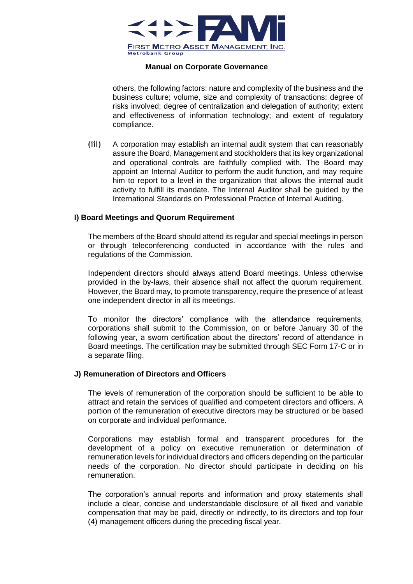

others, the following factors: nature and complexity of the business and the business culture; volume, size and complexity of transactions; degree of risks involved; degree of centralization and delegation of authority; extent and effectiveness of information technology; and extent of regulatory compliance.

(iii) A corporation may establish an internal audit system that can reasonably assure the Board, Management and stockholders that its key organizational and operational controls are faithfully complied with. The Board may appoint an Internal Auditor to perform the audit function, and may require him to report to a level in the organization that allows the internal audit activity to fulfill its mandate. The Internal Auditor shall be guided by the International Standards on Professional Practice of Internal Auditing.

#### **I) Board Meetings and Quorum Requirement**

The members of the Board should attend its regular and special meetings in person or through teleconferencing conducted in accordance with the rules and regulations of the Commission.

Independent directors should always attend Board meetings. Unless otherwise provided in the by-laws, their absence shall not affect the quorum requirement. However, the Board may, to promote transparency, require the presence of at least one independent director in all its meetings.

To monitor the directors' compliance with the attendance requirements, corporations shall submit to the Commission, on or before January 30 of the following year, a sworn certification about the directors' record of attendance in Board meetings. The certification may be submitted through SEC Form 17-C or in a separate filing.

#### **J) Remuneration of Directors and Officers**

The levels of remuneration of the corporation should be sufficient to be able to attract and retain the services of qualified and competent directors and officers. A portion of the remuneration of executive directors may be structured or be based on corporate and individual performance.

Corporations may establish formal and transparent procedures for the development of a policy on executive remuneration or determination of remuneration levels for individual directors and officers depending on the particular needs of the corporation. No director should participate in deciding on his remuneration.

The corporation's annual reports and information and proxy statements shall include a clear, concise and understandable disclosure of all fixed and variable compensation that may be paid, directly or indirectly, to its directors and top four (4) management officers during the preceding fiscal year.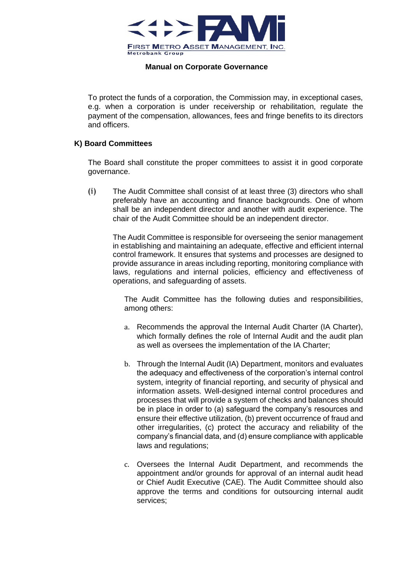

To protect the funds of a corporation, the Commission may, in exceptional cases, e.g. when a corporation is under receivership or rehabilitation, regulate the payment of the compensation, allowances, fees and fringe benefits to its directors and officers.

#### **K) Board Committees**

The Board shall constitute the proper committees to assist it in good corporate governance.

(i) The Audit Committee shall consist of at least three (3) directors who shall preferably have an accounting and finance backgrounds. One of whom shall be an independent director and another with audit experience. The chair of the Audit Committee should be an independent director.

The Audit Committee is responsible for overseeing the senior management in establishing and maintaining an adequate, effective and efficient internal control framework. It ensures that systems and processes are designed to provide assurance in areas including reporting, monitoring compliance with laws, regulations and internal policies, efficiency and effectiveness of operations, and safeguarding of assets.

The Audit Committee has the following duties and responsibilities, among others:

- a. Recommends the approval the Internal Audit Charter (IA Charter), which formally defines the role of Internal Audit and the audit plan as well as oversees the implementation of the IA Charter;
- b. Through the Internal Audit (IA) Department, monitors and evaluates the adequacy and effectiveness of the corporation's internal control system, integrity of financial reporting, and security of physical and information assets. Well-designed internal control procedures and processes that will provide a system of checks and balances should be in place in order to (a) safeguard the company's resources and ensure their effective utilization, (b) prevent occurrence of fraud and other irregularities, (c) protect the accuracy and reliability of the company's financial data, and (d) ensure compliance with applicable laws and regulations;
- c. Oversees the Internal Audit Department, and recommends the appointment and/or grounds for approval of an internal audit head or Chief Audit Executive (CAE). The Audit Committee should also approve the terms and conditions for outsourcing internal audit services;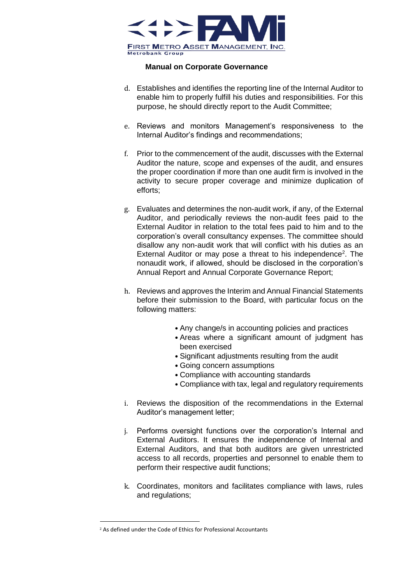

- d. Establishes and identifies the reporting line of the Internal Auditor to enable him to properly fulfill his duties and responsibilities. For this purpose, he should directly report to the Audit Committee;
- e. Reviews and monitors Management's responsiveness to the Internal Auditor's findings and recommendations;
- f. Prior to the commencement of the audit, discusses with the External Auditor the nature, scope and expenses of the audit, and ensures the proper coordination if more than one audit firm is involved in the activity to secure proper coverage and minimize duplication of efforts;
- g. Evaluates and determines the non-audit work, if any, of the External Auditor, and periodically reviews the non-audit fees paid to the External Auditor in relation to the total fees paid to him and to the corporation's overall consultancy expenses. The committee should disallow any non-audit work that will conflict with his duties as an External Auditor or may pose a threat to his independence<sup>2</sup>. The nonaudit work, if allowed, should be disclosed in the corporation's Annual Report and Annual Corporate Governance Report;
- h. Reviews and approves the Interim and Annual Financial Statements before their submission to the Board, with particular focus on the following matters:
	- Any change/s in accounting policies and practices
	- Areas where a significant amount of judgment has been exercised
	- Significant adjustments resulting from the audit
	- Going concern assumptions
	- Compliance with accounting standards
	- Compliance with tax, legal and regulatory requirements
- i. Reviews the disposition of the recommendations in the External Auditor's management letter;
- j. Performs oversight functions over the corporation's Internal and External Auditors. It ensures the independence of Internal and External Auditors, and that both auditors are given unrestricted access to all records, properties and personnel to enable them to perform their respective audit functions;
- k. Coordinates, monitors and facilitates compliance with laws, rules and regulations;

<sup>2</sup> As defined under the Code of Ethics for Professional Accountants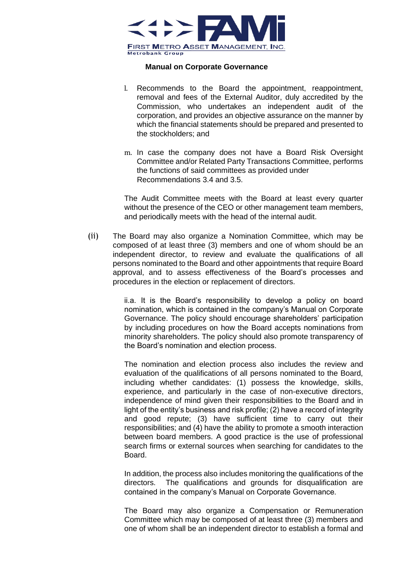

- l. Recommends to the Board the appointment, reappointment, removal and fees of the External Auditor, duly accredited by the Commission, who undertakes an independent audit of the corporation, and provides an objective assurance on the manner by which the financial statements should be prepared and presented to the stockholders; and
- m. In case the company does not have a Board Risk Oversight Committee and/or Related Party Transactions Committee, performs the functions of said committees as provided under Recommendations 3.4 and 3.5.

The Audit Committee meets with the Board at least every quarter without the presence of the CEO or other management team members, and periodically meets with the head of the internal audit.

(ii) The Board may also organize a Nomination Committee, which may be composed of at least three (3) members and one of whom should be an independent director, to review and evaluate the qualifications of all persons nominated to the Board and other appointments that require Board approval, and to assess effectiveness of the Board's processes and procedures in the election or replacement of directors.

> ii.a. It is the Board's responsibility to develop a policy on board nomination, which is contained in the company's Manual on Corporate Governance. The policy should encourage shareholders' participation by including procedures on how the Board accepts nominations from minority shareholders. The policy should also promote transparency of the Board's nomination and election process.

> The nomination and election process also includes the review and evaluation of the qualifications of all persons nominated to the Board, including whether candidates: (1) possess the knowledge, skills, experience, and particularly in the case of non-executive directors, independence of mind given their responsibilities to the Board and in light of the entity's business and risk profile; (2) have a record of integrity and good repute; (3) have sufficient time to carry out their responsibilities; and (4) have the ability to promote a smooth interaction between board members. A good practice is the use of professional search firms or external sources when searching for candidates to the Board.

> In addition, the process also includes monitoring the qualifications of the directors. The qualifications and grounds for disqualification are contained in the company's Manual on Corporate Governance.

> The Board may also organize a Compensation or Remuneration Committee which may be composed of at least three (3) members and one of whom shall be an independent director to establish a formal and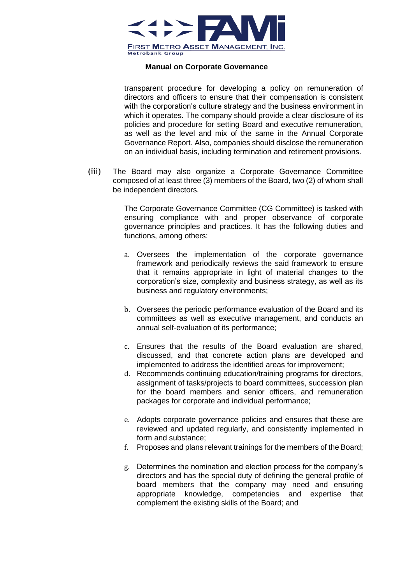

transparent procedure for developing a policy on remuneration of directors and officers to ensure that their compensation is consistent with the corporation's culture strategy and the business environment in which it operates. The company should provide a clear disclosure of its policies and procedure for setting Board and executive remuneration, as well as the level and mix of the same in the Annual Corporate Governance Report. Also, companies should disclose the remuneration on an individual basis, including termination and retirement provisions.

(iii) The Board may also organize a Corporate Governance Committee composed of at least three (3) members of the Board, two (2) of whom shall be independent directors.

> The Corporate Governance Committee (CG Committee) is tasked with ensuring compliance with and proper observance of corporate governance principles and practices. It has the following duties and functions, among others:

- a. Oversees the implementation of the corporate governance framework and periodically reviews the said framework to ensure that it remains appropriate in light of material changes to the corporation's size, complexity and business strategy, as well as its business and regulatory environments;
- b. Oversees the periodic performance evaluation of the Board and its committees as well as executive management, and conducts an annual self-evaluation of its performance;
- c. Ensures that the results of the Board evaluation are shared, discussed, and that concrete action plans are developed and implemented to address the identified areas for improvement;
- d. Recommends continuing education/training programs for directors, assignment of tasks/projects to board committees, succession plan for the board members and senior officers, and remuneration packages for corporate and individual performance;
- e. Adopts corporate governance policies and ensures that these are reviewed and updated regularly, and consistently implemented in form and substance;
- f. Proposes and plans relevant trainings for the members of the Board;
- g. Determines the nomination and election process for the company's directors and has the special duty of defining the general profile of board members that the company may need and ensuring appropriate knowledge, competencies and expertise that complement the existing skills of the Board; and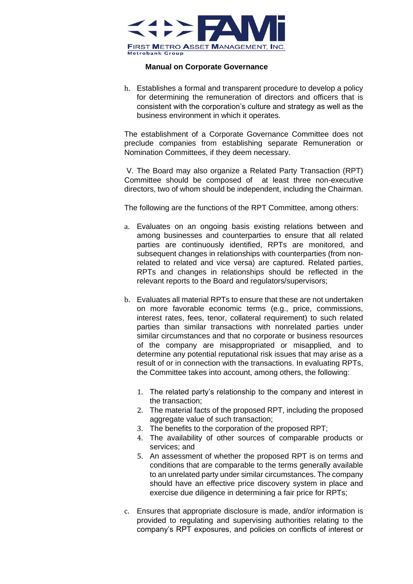

h. Establishes a formal and transparent procedure to develop a policy for determining the remuneration of directors and officers that is consistent with the corporation's culture and strategy as well as the business environment in which it operates.

The establishment of a Corporate Governance Committee does not preclude companies from establishing separate Remuneration or Nomination Committees, if they deem necessary.

V. The Board may also organize a Related Party Transaction (RPT) Committee should be composed of at least three non-executive directors, two of whom should be independent, including the Chairman.

The following are the functions of the RPT Committee, among others:

- a. Evaluates on an ongoing basis existing relations between and among businesses and counterparties to ensure that all related parties are continuously identified, RPTs are monitored, and subsequent changes in relationships with counterparties (from nonrelated to related and vice versa) are captured. Related parties, RPTs and changes in relationships should be reflected in the relevant reports to the Board and regulators/supervisors;
- b. Evaluates all material RPTs to ensure that these are not undertaken on more favorable economic terms (e.g., price, commissions, interest rates, fees, tenor, collateral requirement) to such related parties than similar transactions with nonrelated parties under similar circumstances and that no corporate or business resources of the company are misappropriated or misapplied, and to determine any potential reputational risk issues that may arise as a result of or in connection with the transactions. In evaluating RPTs, the Committee takes into account, among others, the following:
	- 1. The related party's relationship to the company and interest in the transaction;
	- 2. The material facts of the proposed RPT, including the proposed aggregate value of such transaction;
	- 3. The benefits to the corporation of the proposed RPT;
	- 4. The availability of other sources of comparable products or services; and
	- 5. An assessment of whether the proposed RPT is on terms and conditions that are comparable to the terms generally available to an unrelated party under similar circumstances. The company should have an effective price discovery system in place and exercise due diligence in determining a fair price for RPTs;
- c. Ensures that appropriate disclosure is made, and/or information is provided to regulating and supervising authorities relating to the company's RPT exposures, and policies on conflicts of interest or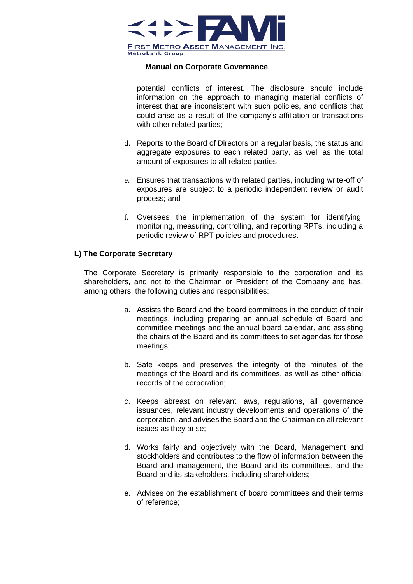

potential conflicts of interest. The disclosure should include information on the approach to managing material conflicts of interest that are inconsistent with such policies, and conflicts that could arise as a result of the company's affiliation or transactions with other related parties;

- d. Reports to the Board of Directors on a regular basis, the status and aggregate exposures to each related party, as well as the total amount of exposures to all related parties;
- e. Ensures that transactions with related parties, including write-off of exposures are subject to a periodic independent review or audit process; and
- f. Oversees the implementation of the system for identifying, monitoring, measuring, controlling, and reporting RPTs, including a periodic review of RPT policies and procedures.

## **L) The Corporate Secretary**

The Corporate Secretary is primarily responsible to the corporation and its shareholders, and not to the Chairman or President of the Company and has, among others, the following duties and responsibilities:

- a. Assists the Board and the board committees in the conduct of their meetings, including preparing an annual schedule of Board and committee meetings and the annual board calendar, and assisting the chairs of the Board and its committees to set agendas for those meetings;
- b. Safe keeps and preserves the integrity of the minutes of the meetings of the Board and its committees, as well as other official records of the corporation;
- c. Keeps abreast on relevant laws, regulations, all governance issuances, relevant industry developments and operations of the corporation, and advises the Board and the Chairman on all relevant issues as they arise;
- d. Works fairly and objectively with the Board, Management and stockholders and contributes to the flow of information between the Board and management, the Board and its committees, and the Board and its stakeholders, including shareholders;
- e. Advises on the establishment of board committees and their terms of reference;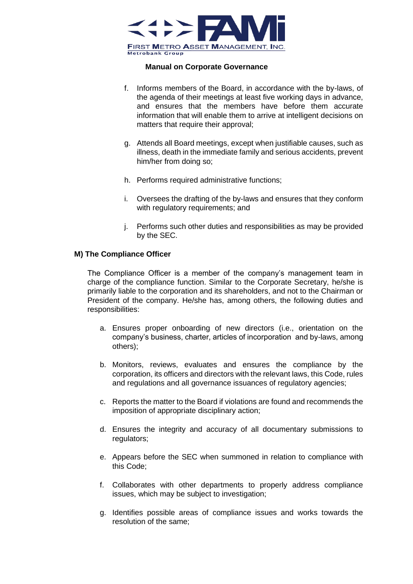

- f. Informs members of the Board, in accordance with the by-laws, of the agenda of their meetings at least five working days in advance, and ensures that the members have before them accurate information that will enable them to arrive at intelligent decisions on matters that require their approval;
- g. Attends all Board meetings, except when justifiable causes, such as illness, death in the immediate family and serious accidents, prevent him/her from doing so;
- h. Performs required administrative functions;
- i. Oversees the drafting of the by-laws and ensures that they conform with regulatory requirements; and
- j. Performs such other duties and responsibilities as may be provided by the SEC.

#### **M) The Compliance Officer**

The Compliance Officer is a member of the company's management team in charge of the compliance function. Similar to the Corporate Secretary, he/she is primarily liable to the corporation and its shareholders, and not to the Chairman or President of the company. He/she has, among others, the following duties and responsibilities:

- a. Ensures proper onboarding of new directors (i.e., orientation on the company's business, charter, articles of incorporation and by-laws, among others);
- b. Monitors, reviews, evaluates and ensures the compliance by the corporation, its officers and directors with the relevant laws, this Code, rules and regulations and all governance issuances of regulatory agencies;
- c. Reports the matter to the Board if violations are found and recommends the imposition of appropriate disciplinary action;
- d. Ensures the integrity and accuracy of all documentary submissions to regulators:
- e. Appears before the SEC when summoned in relation to compliance with this Code;
- f. Collaborates with other departments to properly address compliance issues, which may be subject to investigation;
- g. Identifies possible areas of compliance issues and works towards the resolution of the same;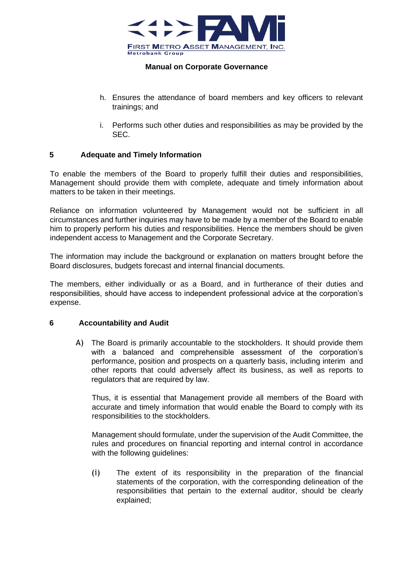

- h. Ensures the attendance of board members and key officers to relevant trainings; and
- i. Performs such other duties and responsibilities as may be provided by the SEC.

## **5 Adequate and Timely Information**

To enable the members of the Board to properly fulfill their duties and responsibilities, Management should provide them with complete, adequate and timely information about matters to be taken in their meetings.

Reliance on information volunteered by Management would not be sufficient in all circumstances and further inquiries may have to be made by a member of the Board to enable him to properly perform his duties and responsibilities. Hence the members should be given independent access to Management and the Corporate Secretary.

The information may include the background or explanation on matters brought before the Board disclosures, budgets forecast and internal financial documents.

The members, either individually or as a Board, and in furtherance of their duties and responsibilities, should have access to independent professional advice at the corporation's expense.

#### **6 Accountability and Audit**

A) The Board is primarily accountable to the stockholders. It should provide them with a balanced and comprehensible assessment of the corporation's performance, position and prospects on a quarterly basis, including interim and other reports that could adversely affect its business, as well as reports to regulators that are required by law.

Thus, it is essential that Management provide all members of the Board with accurate and timely information that would enable the Board to comply with its responsibilities to the stockholders.

Management should formulate, under the supervision of the Audit Committee, the rules and procedures on financial reporting and internal control in accordance with the following quidelines:

(i) The extent of its responsibility in the preparation of the financial statements of the corporation, with the corresponding delineation of the responsibilities that pertain to the external auditor, should be clearly explained;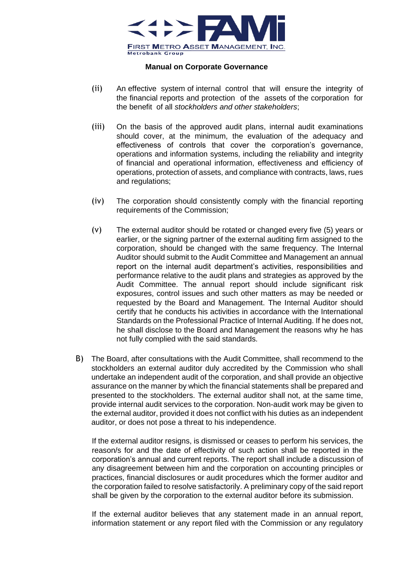

- (ii) An effective system of internal control that will ensure the integrity of the financial reports and protection of the assets of the corporation for the benefit of all *stockholders and other stakeholders*;
- (iii) On the basis of the approved audit plans, internal audit examinations should cover, at the minimum, the evaluation of the adequacy and effectiveness of controls that cover the corporation's governance, operations and information systems, including the reliability and integrity of financial and operational information, effectiveness and efficiency of operations, protection of assets, and compliance with contracts, laws, rues and regulations;
- (iv) The corporation should consistently comply with the financial reporting requirements of the Commission;
- (v) The external auditor should be rotated or changed every five (5) years or earlier, or the signing partner of the external auditing firm assigned to the corporation, should be changed with the same frequency. The Internal Auditor should submit to the Audit Committee and Management an annual report on the internal audit department's activities, responsibilities and performance relative to the audit plans and strategies as approved by the Audit Committee. The annual report should include significant risk exposures, control issues and such other matters as may be needed or requested by the Board and Management. The Internal Auditor should certify that he conducts his activities in accordance with the International Standards on the Professional Practice of Internal Auditing. If he does not, he shall disclose to the Board and Management the reasons why he has not fully complied with the said standards.
- B) The Board, after consultations with the Audit Committee, shall recommend to the stockholders an external auditor duly accredited by the Commission who shall undertake an independent audit of the corporation, and shall provide an objective assurance on the manner by which the financial statements shall be prepared and presented to the stockholders. The external auditor shall not, at the same time, provide internal audit services to the corporation. Non-audit work may be given to the external auditor, provided it does not conflict with his duties as an independent auditor, or does not pose a threat to his independence.

If the external auditor resigns, is dismissed or ceases to perform his services, the reason/s for and the date of effectivity of such action shall be reported in the corporation's annual and current reports. The report shall include a discussion of any disagreement between him and the corporation on accounting principles or practices, financial disclosures or audit procedures which the former auditor and the corporation failed to resolve satisfactorily. A preliminary copy of the said report shall be given by the corporation to the external auditor before its submission.

If the external auditor believes that any statement made in an annual report, information statement or any report filed with the Commission or any regulatory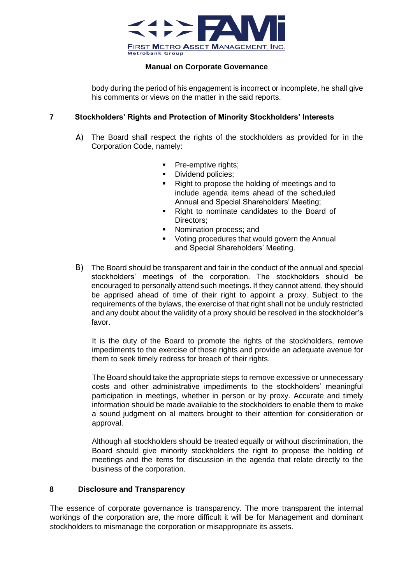

body during the period of his engagement is incorrect or incomplete, he shall give his comments or views on the matter in the said reports.

## **7 Stockholders' Rights and Protection of Minority Stockholders' Interests**

- A) The Board shall respect the rights of the stockholders as provided for in the Corporation Code, namely:
	- **•** Pre-emptive rights;
	- Dividend policies:
	- Right to propose the holding of meetings and to include agenda items ahead of the scheduled Annual and Special Shareholders' Meeting;
	- Right to nominate candidates to the Board of Directors:
	- Nomination process: and
	- Voting procedures that would govern the Annual and Special Shareholders' Meeting.
- B) The Board should be transparent and fair in the conduct of the annual and special stockholders' meetings of the corporation. The stockholders should be encouraged to personally attend such meetings. If they cannot attend, they should be apprised ahead of time of their right to appoint a proxy. Subject to the requirements of the bylaws, the exercise of that right shall not be unduly restricted and any doubt about the validity of a proxy should be resolved in the stockholder's favor.

It is the duty of the Board to promote the rights of the stockholders, remove impediments to the exercise of those rights and provide an adequate avenue for them to seek timely redress for breach of their rights.

The Board should take the appropriate steps to remove excessive or unnecessary costs and other administrative impediments to the stockholders' meaningful participation in meetings, whether in person or by proxy. Accurate and timely information should be made available to the stockholders to enable them to make a sound judgment on al matters brought to their attention for consideration or approval.

Although all stockholders should be treated equally or without discrimination, the Board should give minority stockholders the right to propose the holding of meetings and the items for discussion in the agenda that relate directly to the business of the corporation.

## **8 Disclosure and Transparency**

The essence of corporate governance is transparency. The more transparent the internal workings of the corporation are, the more difficult it will be for Management and dominant stockholders to mismanage the corporation or misappropriate its assets.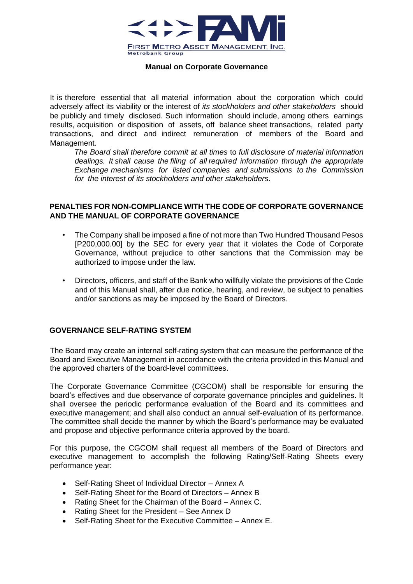

It is therefore essential that all material information about the corporation which could adversely affect its viability or the interest of *its stockholders and other stakeholders* should be publicly and timely disclosed. Such information should include, among others earnings results, acquisition or disposition of assets, off balance sheet transactions, related party transactions, and direct and indirect remuneration of members of the Board and Management.

*The Board shall therefore commit at all times* to *full disclosure of material information dealings. It shall cause the filing of all required information through the appropriate Exchange mechanisms for listed companies and submissions to the Commission for the interest of its stockholders and other stakeholders*.

#### **PENALTIES FOR NON-COMPLIANCE WITH THE CODE OF CORPORATE GOVERNANCE AND THE MANUAL OF CORPORATE GOVERNANCE**

- The Company shall be imposed a fine of not more than Two Hundred Thousand Pesos [P200,000.00] by the SEC for every year that it violates the Code of Corporate Governance, without prejudice to other sanctions that the Commission may be authorized to impose under the law.
- Directors, officers, and staff of the Bank who willfully violate the provisions of the Code and of this Manual shall, after due notice, hearing, and review, be subject to penalties and/or sanctions as may be imposed by the Board of Directors.

## **GOVERNANCE SELF-RATING SYSTEM**

The Board may create an internal self-rating system that can measure the performance of the Board and Executive Management in accordance with the criteria provided in this Manual and the approved charters of the board-level committees.

The Corporate Governance Committee (CGCOM) shall be responsible for ensuring the board's effectives and due observance of corporate governance principles and guidelines. It shall oversee the periodic performance evaluation of the Board and its committees and executive management; and shall also conduct an annual self-evaluation of its performance. The committee shall decide the manner by which the Board's performance may be evaluated and propose and objective performance criteria approved by the board.

For this purpose, the CGCOM shall request all members of the Board of Directors and executive management to accomplish the following Rating/Self-Rating Sheets every performance year:

- Self-Rating Sheet of Individual Director Annex A
- Self-Rating Sheet for the Board of Directors Annex B
- Rating Sheet for the Chairman of the Board Annex C.
- Rating Sheet for the President See Annex D
- Self-Rating Sheet for the Executive Committee Annex E.